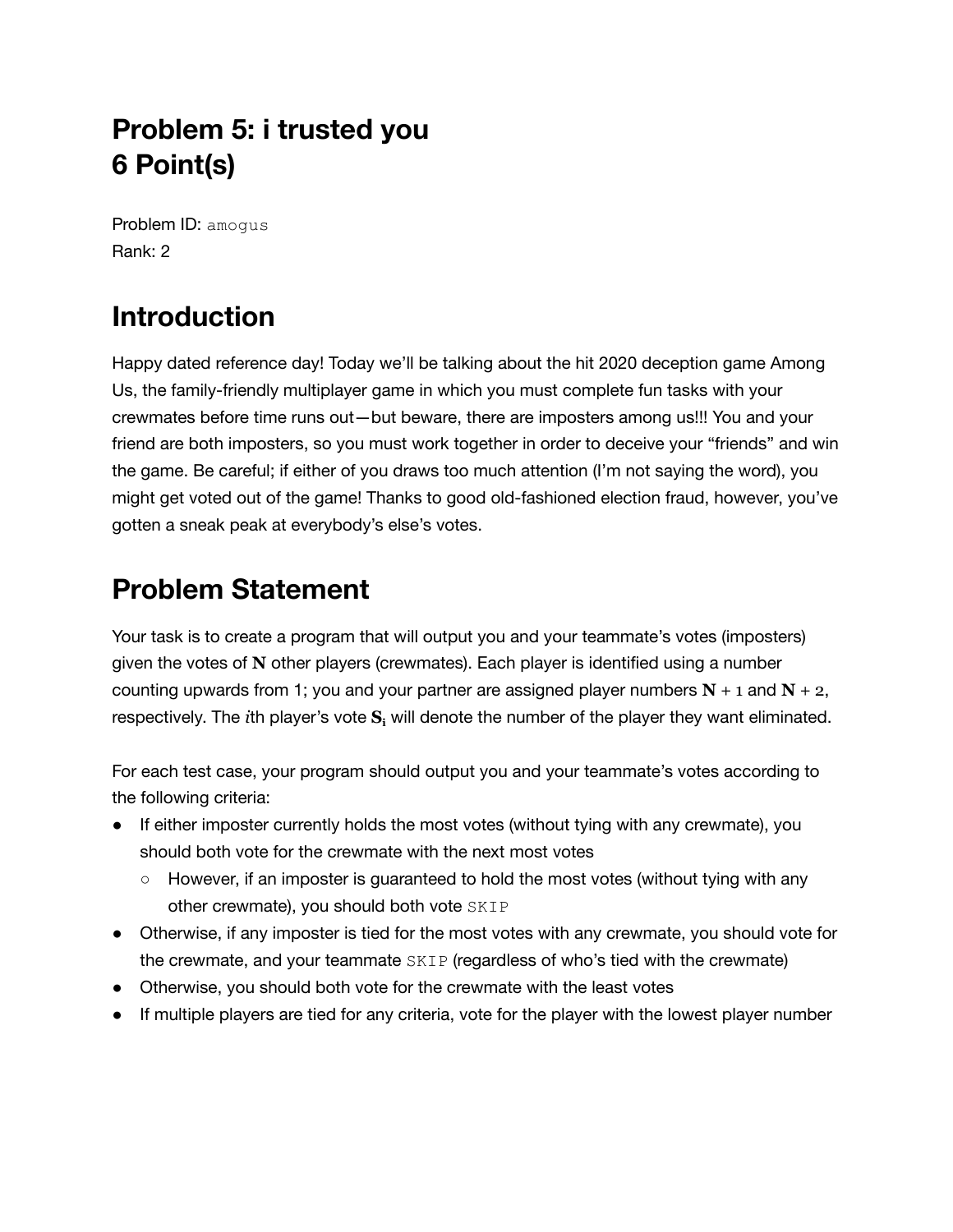## **Problem 5: i trusted you 6 Point(s)**

Problem ID: amogus Rank: 2

## **Introduction**

Happy dated reference day! Today we'll be talking about the hit 2020 deception game Among Us, the family-friendly multiplayer game in which you must complete fun tasks with your crewmates before time runs out—but beware, there are imposters among us!!! You and your friend are both imposters, so you must work together in order to deceive your "friends" and win the game. Be careful; if either of you draws too much attention (I'm not saying the word), you might get voted out of the game! Thanks to good old-fashioned election fraud, however, you've gotten a sneak peak at everybody's else's votes.

### **Problem Statement**

Your task is to create a program that will output you and your teammate's votes (imposters) given the votes of **N** other players (crewmates). Each player is identified using a number counting upwards from 1; you and your partner are assigned player numbers  $N + 1$  and  $N + 2$ , respectively. The *i*th player's vote **S<sup>i</sup>** will denote the number of the player they want eliminated.

For each test case, your program should output you and your teammate's votes according to the following criteria:

- If either imposter currently holds the most votes (without tying with any crewmate), you should both vote for the crewmate with the next most votes
	- However, if an imposter is guaranteed to hold the most votes (without tying with any other crewmate), you should both vote SKIP
- Otherwise, if any imposter is tied for the most votes with any crewmate, you should vote for the crewmate, and your teammate SKIP (regardless of who's tied with the crewmate)
- Otherwise, you should both vote for the crewmate with the least votes
- If multiple players are tied for any criteria, vote for the player with the lowest player number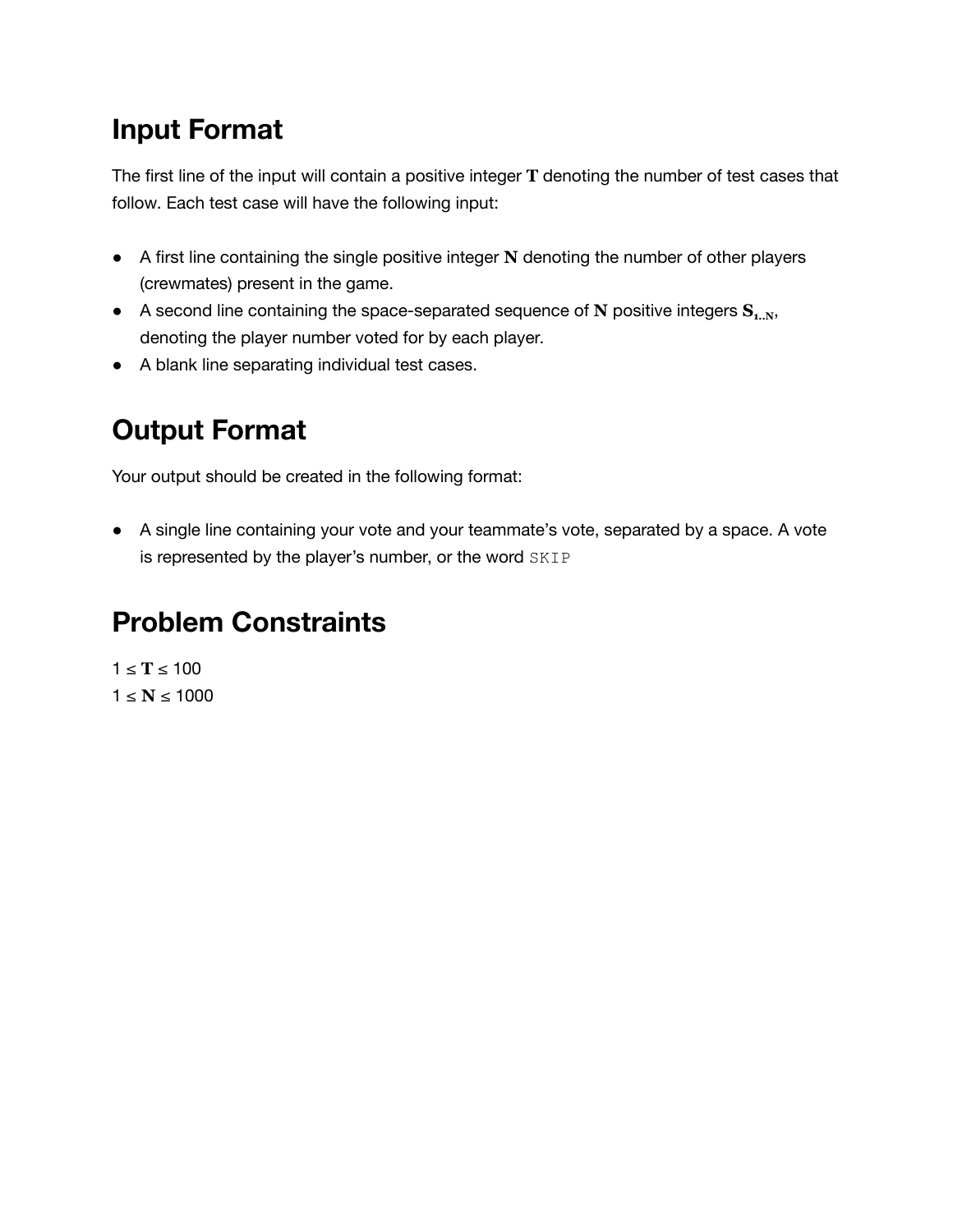### **Input Format**

The first line of the input will contain a positive integer **T** denoting the number of test cases that follow. Each test case will have the following input:

- A first line containing the single positive integer **N** denoting the number of other players (crewmates) present in the game.
- A second line containing the space-separated sequence of **N** positive integers  $S$ <sub>1..N</sub>, denoting the player number voted for by each player.
- A blank line separating individual test cases.

# **Output Format**

Your output should be created in the following format:

● A single line containing your vote and your teammate's vote, separated by a space. A vote is represented by the player's number, or the word SKIP

### **Problem Constraints**

 $1 ≤ T ≤ 100$ 1 ≤ **N** ≤ 1000